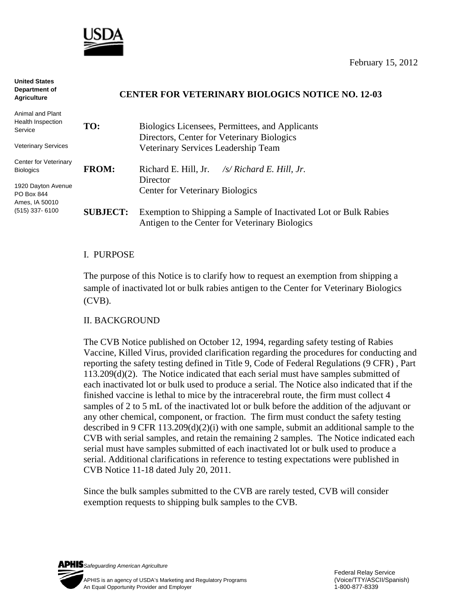

**United States** 

| טווושט טנטגש<br>Department of<br><b>Agriculture</b> | <b>CENTER FOR VETERINARY BIOLOGICS NOTICE NO. 12-03</b> |                                                                                                                    |
|-----------------------------------------------------|---------------------------------------------------------|--------------------------------------------------------------------------------------------------------------------|
| Animal and Plant<br>Health Inspection<br>Service    | TO:                                                     | Biologics Licensees, Permittees, and Applicants<br>Directors, Center for Veterinary Biologics                      |
| <b>Veterinary Services</b>                          |                                                         | Veterinary Services Leadership Team                                                                                |
| Center for Veterinary<br><b>Biologics</b>           | <b>FROM:</b>                                            | Richard E. Hill, Jr.<br>$\sqrt{s}$ Richard E. Hill, Jr.<br><b>Director</b>                                         |
| 1920 Dayton Avenue<br>PO Box 844<br>Ames, IA 50010  |                                                         | <b>Center for Veterinary Biologics</b>                                                                             |
| $(515)$ 337-6100                                    | <b>SUBJECT:</b>                                         | Exemption to Shipping a Sample of Inactivated Lot or Bulk Rabies<br>Antigen to the Center for Veterinary Biologics |

### I. PURPOSE

The purpose of this Notice is to clarify how to request an exemption from shipping a sample of inactivated lot or bulk rabies antigen to the Center for Veterinary Biologics (CVB).

### II. BACKGROUND

The CVB Notice published on October 12, 1994, regarding safety testing of Rabies Vaccine, Killed Virus, provided clarification regarding the procedures for conducting and reporting the safety testing defined in Title 9, Code of Federal Regulations (9 CFR) , Part 113.209(d)(2). The Notice indicated that each serial must have samples submitted of each inactivated lot or bulk used to produce a serial. The Notice also indicated that if the finished vaccine is lethal to mice by the intracerebral route, the firm must collect 4 samples of 2 to 5 mL of the inactivated lot or bulk before the addition of the adjuvant or any other chemical, component, or fraction. The firm must conduct the safety testing described in 9 CFR 113.209(d)(2)(i) with one sample, submit an additional sample to the CVB with serial samples, and retain the remaining 2 samples. The Notice indicated each serial must have samples submitted of each inactivated lot or bulk used to produce a serial. Additional clarifications in reference to testing expectations were published in CVB Notice 11-18 dated July 20, 2011.

Since the bulk samples submitted to the CVB are rarely tested, CVB will consider exemption requests to shipping bulk samples to the CVB.

*Safeguarding American Agriculture*  APHIS is an agency of USDA's Marketing and Regulatory Programs(Voice/TTY/ASCII/Spanish) An Equal Opportunity Provider and Employer